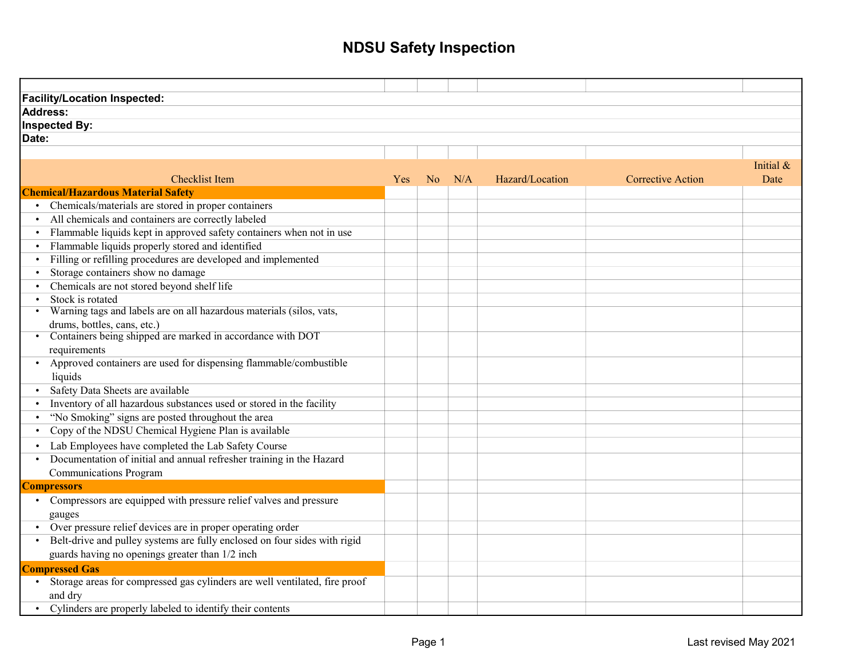| <b>Facility/Location Inspected:</b>                                        |            |                |     |                 |                          |           |
|----------------------------------------------------------------------------|------------|----------------|-----|-----------------|--------------------------|-----------|
| <b>Address:</b>                                                            |            |                |     |                 |                          |           |
| Inspected By:                                                              |            |                |     |                 |                          |           |
| Date:                                                                      |            |                |     |                 |                          |           |
|                                                                            |            |                |     |                 |                          |           |
|                                                                            |            |                |     |                 |                          | Initial & |
| <b>Checklist Item</b>                                                      | <b>Yes</b> | N <sub>o</sub> | N/A | Hazard/Location | <b>Corrective Action</b> | Date      |
| <b>Chemical/Hazardous Material Safety</b>                                  |            |                |     |                 |                          |           |
| Chemicals/materials are stored in proper containers                        |            |                |     |                 |                          |           |
| All chemicals and containers are correctly labeled<br>$\bullet$            |            |                |     |                 |                          |           |
| Flammable liquids kept in approved safety containers when not in use       |            |                |     |                 |                          |           |
| Flammable liquids properly stored and identified                           |            |                |     |                 |                          |           |
| Filling or refilling procedures are developed and implemented              |            |                |     |                 |                          |           |
| Storage containers show no damage                                          |            |                |     |                 |                          |           |
| Chemicals are not stored beyond shelf life                                 |            |                |     |                 |                          |           |
| Stock is rotated                                                           |            |                |     |                 |                          |           |
| Warning tags and labels are on all hazardous materials (silos, vats,       |            |                |     |                 |                          |           |
| drums, bottles, cans, etc.)                                                |            |                |     |                 |                          |           |
| Containers being shipped are marked in accordance with DOT                 |            |                |     |                 |                          |           |
| requirements                                                               |            |                |     |                 |                          |           |
| Approved containers are used for dispensing flammable/combustible          |            |                |     |                 |                          |           |
| liquids                                                                    |            |                |     |                 |                          |           |
| Safety Data Sheets are available                                           |            |                |     |                 |                          |           |
| Inventory of all hazardous substances used or stored in the facility       |            |                |     |                 |                          |           |
| "No Smoking" signs are posted throughout the area                          |            |                |     |                 |                          |           |
| Copy of the NDSU Chemical Hygiene Plan is available                        |            |                |     |                 |                          |           |
| Lab Employees have completed the Lab Safety Course                         |            |                |     |                 |                          |           |
| Documentation of initial and annual refresher training in the Hazard       |            |                |     |                 |                          |           |
| <b>Communications Program</b>                                              |            |                |     |                 |                          |           |
| <b>Compressors</b>                                                         |            |                |     |                 |                          |           |
| Compressors are equipped with pressure relief valves and pressure          |            |                |     |                 |                          |           |
| gauges                                                                     |            |                |     |                 |                          |           |
| Over pressure relief devices are in proper operating order<br>$\bullet$    |            |                |     |                 |                          |           |
| Belt-drive and pulley systems are fully enclosed on four sides with rigid  |            |                |     |                 |                          |           |
| guards having no openings greater than 1/2 inch                            |            |                |     |                 |                          |           |
| <b>Compressed Gas</b>                                                      |            |                |     |                 |                          |           |
| Storage areas for compressed gas cylinders are well ventilated, fire proof |            |                |     |                 |                          |           |
| and dry                                                                    |            |                |     |                 |                          |           |
| Cylinders are properly labeled to identify their contents                  |            |                |     |                 |                          |           |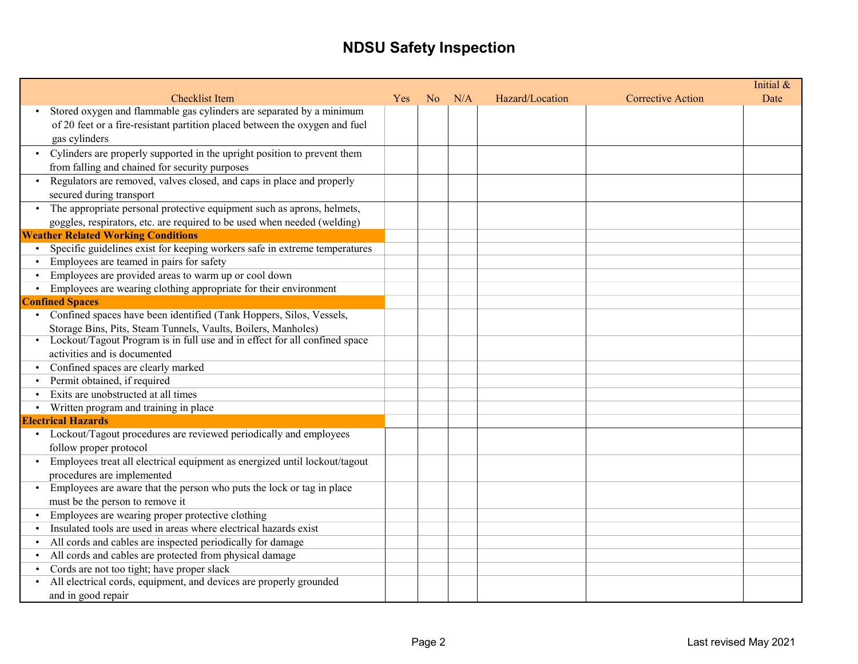|                                                                                     |            |                |     |                 |                          | Initial & |
|-------------------------------------------------------------------------------------|------------|----------------|-----|-----------------|--------------------------|-----------|
| <b>Checklist Item</b>                                                               | <b>Yes</b> | N <sub>o</sub> | N/A | Hazard/Location | <b>Corrective Action</b> | Date      |
| Stored oxygen and flammable gas cylinders are separated by a minimum                |            |                |     |                 |                          |           |
| of 20 feet or a fire-resistant partition placed between the oxygen and fuel         |            |                |     |                 |                          |           |
| gas cylinders                                                                       |            |                |     |                 |                          |           |
| • Cylinders are properly supported in the upright position to prevent them          |            |                |     |                 |                          |           |
| from falling and chained for security purposes                                      |            |                |     |                 |                          |           |
| Regulators are removed, valves closed, and caps in place and properly               |            |                |     |                 |                          |           |
| secured during transport                                                            |            |                |     |                 |                          |           |
| The appropriate personal protective equipment such as aprons, helmets,<br>$\bullet$ |            |                |     |                 |                          |           |
| goggles, respirators, etc. are required to be used when needed (welding)            |            |                |     |                 |                          |           |
| <b>Weather Related Working Conditions</b>                                           |            |                |     |                 |                          |           |
| Specific guidelines exist for keeping workers safe in extreme temperatures          |            |                |     |                 |                          |           |
| Employees are teamed in pairs for safety                                            |            |                |     |                 |                          |           |
| Employees are provided areas to warm up or cool down                                |            |                |     |                 |                          |           |
| Employees are wearing clothing appropriate for their environment                    |            |                |     |                 |                          |           |
| <b>Confined Spaces</b>                                                              |            |                |     |                 |                          |           |
| • Confined spaces have been identified (Tank Hoppers, Silos, Vessels,               |            |                |     |                 |                          |           |
| Storage Bins, Pits, Steam Tunnels, Vaults, Boilers, Manholes)                       |            |                |     |                 |                          |           |
| • Lockout/Tagout Program is in full use and in effect for all confined space        |            |                |     |                 |                          |           |
| activities and is documented                                                        |            |                |     |                 |                          |           |
| Confined spaces are clearly marked                                                  |            |                |     |                 |                          |           |
| Permit obtained, if required                                                        |            |                |     |                 |                          |           |
| Exits are unobstructed at all times                                                 |            |                |     |                 |                          |           |
| Written program and training in place                                               |            |                |     |                 |                          |           |
| <b>Electrical Hazards</b>                                                           |            |                |     |                 |                          |           |
| • Lockout/Tagout procedures are reviewed periodically and employees                 |            |                |     |                 |                          |           |
| follow proper protocol                                                              |            |                |     |                 |                          |           |
| Employees treat all electrical equipment as energized until lockout/tagout          |            |                |     |                 |                          |           |
| procedures are implemented                                                          |            |                |     |                 |                          |           |
| Employees are aware that the person who puts the lock or tag in place<br>$\bullet$  |            |                |     |                 |                          |           |
| must be the person to remove it                                                     |            |                |     |                 |                          |           |
| Employees are wearing proper protective clothing                                    |            |                |     |                 |                          |           |
| Insulated tools are used in areas where electrical hazards exist                    |            |                |     |                 |                          |           |
| All cords and cables are inspected periodically for damage                          |            |                |     |                 |                          |           |
| All cords and cables are protected from physical damage                             |            |                |     |                 |                          |           |
| Cords are not too tight; have proper slack                                          |            |                |     |                 |                          |           |
| All electrical cords, equipment, and devices are properly grounded                  |            |                |     |                 |                          |           |
| and in good repair                                                                  |            |                |     |                 |                          |           |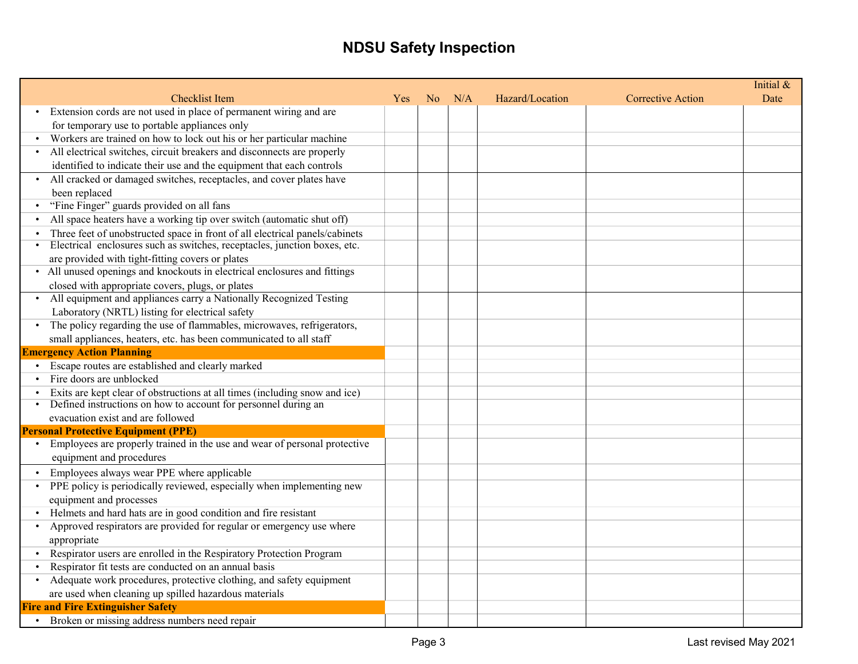|                                                                                                                           |     |                |     |                 |                          | Initial & |
|---------------------------------------------------------------------------------------------------------------------------|-----|----------------|-----|-----------------|--------------------------|-----------|
| <b>Checklist Item</b>                                                                                                     | Yes | N <sub>o</sub> | N/A | Hazard/Location | <b>Corrective Action</b> | Date      |
| Extension cords are not used in place of permanent wiring and are<br>$\bullet$                                            |     |                |     |                 |                          |           |
| for temporary use to portable appliances only                                                                             |     |                |     |                 |                          |           |
| Workers are trained on how to lock out his or her particular machine                                                      |     |                |     |                 |                          |           |
| All electrical switches, circuit breakers and disconnects are properly                                                    |     |                |     |                 |                          |           |
| identified to indicate their use and the equipment that each controls                                                     |     |                |     |                 |                          |           |
| All cracked or damaged switches, receptacles, and cover plates have                                                       |     |                |     |                 |                          |           |
| been replaced                                                                                                             |     |                |     |                 |                          |           |
| "Fine Finger" guards provided on all fans                                                                                 |     |                |     |                 |                          |           |
| All space heaters have a working tip over switch (automatic shut off)                                                     |     |                |     |                 |                          |           |
| Three feet of unobstructed space in front of all electrical panels/cabinets                                               |     |                |     |                 |                          |           |
| Electrical enclosures such as switches, receptacles, junction boxes, etc.<br>$\bullet$                                    |     |                |     |                 |                          |           |
| are provided with tight-fitting covers or plates                                                                          |     |                |     |                 |                          |           |
| • All unused openings and knockouts in electrical enclosures and fittings                                                 |     |                |     |                 |                          |           |
| closed with appropriate covers, plugs, or plates                                                                          |     |                |     |                 |                          |           |
| All equipment and appliances carry a Nationally Recognized Testing                                                        |     |                |     |                 |                          |           |
| Laboratory (NRTL) listing for electrical safety                                                                           |     |                |     |                 |                          |           |
| The policy regarding the use of flammables, microwaves, refrigerators,                                                    |     |                |     |                 |                          |           |
| small appliances, heaters, etc. has been communicated to all staff                                                        |     |                |     |                 |                          |           |
| <b>Emergency Action Planning</b>                                                                                          |     |                |     |                 |                          |           |
| • Escape routes are established and clearly marked                                                                        |     |                |     |                 |                          |           |
| Fire doors are unblocked                                                                                                  |     |                |     |                 |                          |           |
| Exits are kept clear of obstructions at all times (including snow and ice)                                                |     |                |     |                 |                          |           |
| Defined instructions on how to account for personnel during an                                                            |     |                |     |                 |                          |           |
| evacuation exist and are followed                                                                                         |     |                |     |                 |                          |           |
| <b>Personal Protective Equipment (PPE)</b><br>• Employees are properly trained in the use and wear of personal protective |     |                |     |                 |                          |           |
| equipment and procedures                                                                                                  |     |                |     |                 |                          |           |
|                                                                                                                           |     |                |     |                 |                          |           |
| Employees always wear PPE where applicable                                                                                |     |                |     |                 |                          |           |
| PPE policy is periodically reviewed, especially when implementing new                                                     |     |                |     |                 |                          |           |
| equipment and processes                                                                                                   |     |                |     |                 |                          |           |
| • Helmets and hard hats are in good condition and fire resistant                                                          |     |                |     |                 |                          |           |
| Approved respirators are provided for regular or emergency use where<br>$\bullet$                                         |     |                |     |                 |                          |           |
| appropriate                                                                                                               |     |                |     |                 |                          |           |
| Respirator users are enrolled in the Respiratory Protection Program                                                       |     |                |     |                 |                          |           |
| Respirator fit tests are conducted on an annual basis<br>$\bullet$                                                        |     |                |     |                 |                          |           |
| Adequate work procedures, protective clothing, and safety equipment<br>$\bullet$                                          |     |                |     |                 |                          |           |
| are used when cleaning up spilled hazardous materials                                                                     |     |                |     |                 |                          |           |
| <b>Fire and Fire Extinguisher Safety</b>                                                                                  |     |                |     |                 |                          |           |
| Broken or missing address numbers need repair                                                                             |     |                |     |                 |                          |           |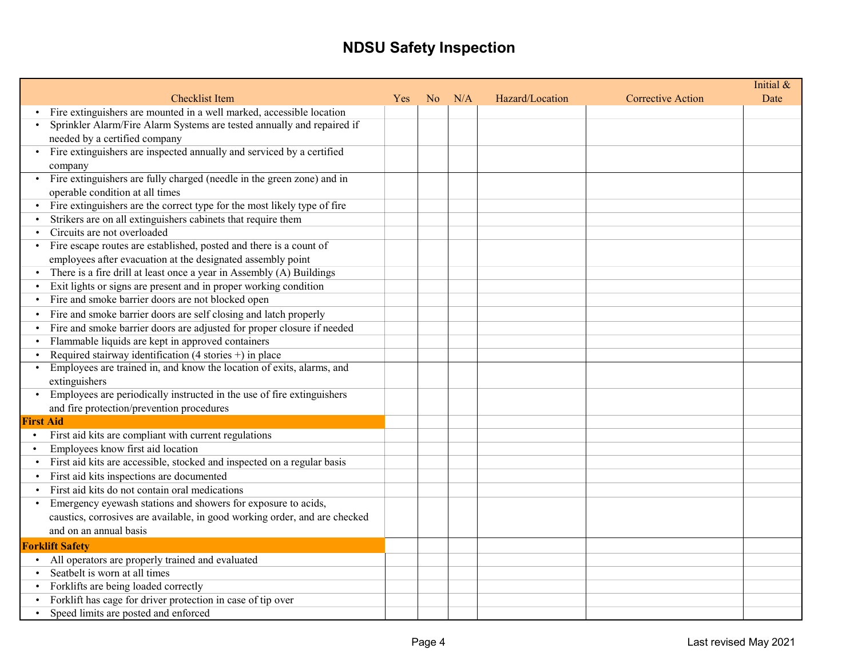|                                                                                     |     |                |     |                 |                          | Initial & |
|-------------------------------------------------------------------------------------|-----|----------------|-----|-----------------|--------------------------|-----------|
| <b>Checklist Item</b>                                                               | Yes | N <sub>o</sub> | N/A | Hazard/Location | <b>Corrective Action</b> | Date      |
| Fire extinguishers are mounted in a well marked, accessible location                |     |                |     |                 |                          |           |
| Sprinkler Alarm/Fire Alarm Systems are tested annually and repaired if              |     |                |     |                 |                          |           |
| needed by a certified company                                                       |     |                |     |                 |                          |           |
| Fire extinguishers are inspected annually and serviced by a certified               |     |                |     |                 |                          |           |
| company                                                                             |     |                |     |                 |                          |           |
| Fire extinguishers are fully charged (needle in the green zone) and in              |     |                |     |                 |                          |           |
| operable condition at all times                                                     |     |                |     |                 |                          |           |
| Fire extinguishers are the correct type for the most likely type of fire            |     |                |     |                 |                          |           |
| Strikers are on all extinguishers cabinets that require them                        |     |                |     |                 |                          |           |
| Circuits are not overloaded                                                         |     |                |     |                 |                          |           |
| Fire escape routes are established, posted and there is a count of                  |     |                |     |                 |                          |           |
| employees after evacuation at the designated assembly point                         |     |                |     |                 |                          |           |
| There is a fire drill at least once a year in Assembly (A) Buildings                |     |                |     |                 |                          |           |
| Exit lights or signs are present and in proper working condition<br>$\bullet$       |     |                |     |                 |                          |           |
| Fire and smoke barrier doors are not blocked open<br>$\bullet$                      |     |                |     |                 |                          |           |
| Fire and smoke barrier doors are self closing and latch properly<br>$\bullet$       |     |                |     |                 |                          |           |
| Fire and smoke barrier doors are adjusted for proper closure if needed<br>$\bullet$ |     |                |     |                 |                          |           |
| Flammable liquids are kept in approved containers                                   |     |                |     |                 |                          |           |
| Required stairway identification (4 stories $+)$ in place                           |     |                |     |                 |                          |           |
| Employees are trained in, and know the location of exits, alarms, and               |     |                |     |                 |                          |           |
| extinguishers                                                                       |     |                |     |                 |                          |           |
| Employees are periodically instructed in the use of fire extinguishers<br>$\bullet$ |     |                |     |                 |                          |           |
| and fire protection/prevention procedures                                           |     |                |     |                 |                          |           |
| <b>First Aid</b>                                                                    |     |                |     |                 |                          |           |
| First aid kits are compliant with current regulations<br>$\bullet$                  |     |                |     |                 |                          |           |
| Employees know first aid location<br>$\bullet$                                      |     |                |     |                 |                          |           |
| First aid kits are accessible, stocked and inspected on a regular basis             |     |                |     |                 |                          |           |
| First aid kits inspections are documented<br>$\bullet$                              |     |                |     |                 |                          |           |
| First aid kits do not contain oral medications                                      |     |                |     |                 |                          |           |
| Emergency eyewash stations and showers for exposure to acids,<br>$\bullet$          |     |                |     |                 |                          |           |
| caustics, corrosives are available, in good working order, and are checked          |     |                |     |                 |                          |           |
| and on an annual basis                                                              |     |                |     |                 |                          |           |
| <b>Forklift Safety</b>                                                              |     |                |     |                 |                          |           |
| • All operators are properly trained and evaluated                                  |     |                |     |                 |                          |           |
| Seatbelt is worn at all times                                                       |     |                |     |                 |                          |           |
| Forklifts are being loaded correctly                                                |     |                |     |                 |                          |           |
| Forklift has cage for driver protection in case of tip over                         |     |                |     |                 |                          |           |
| Speed limits are posted and enforced                                                |     |                |     |                 |                          |           |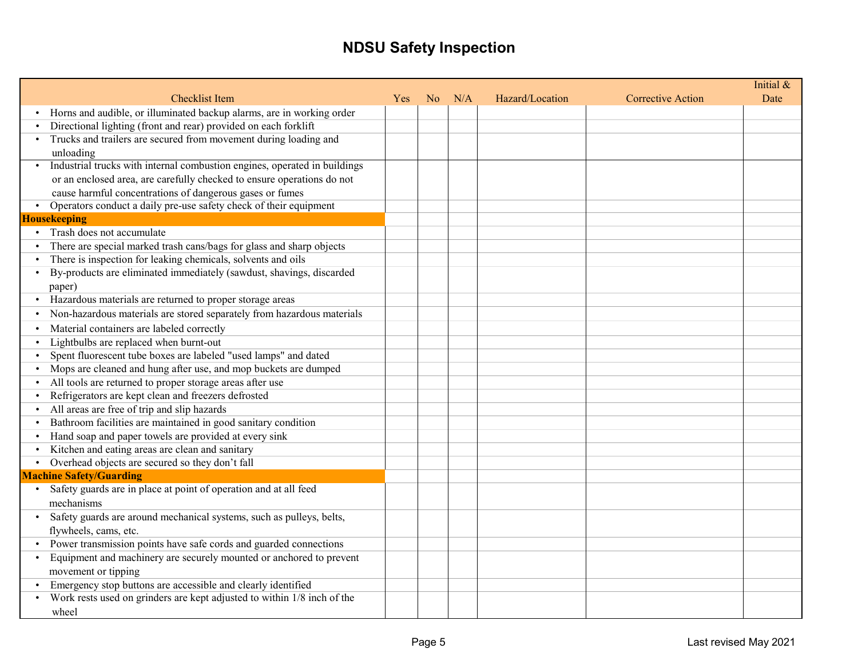|           |                                                                           |            |                |     |                 |                          | Initial & |
|-----------|---------------------------------------------------------------------------|------------|----------------|-----|-----------------|--------------------------|-----------|
|           | <b>Checklist Item</b>                                                     | <b>Yes</b> | N <sub>o</sub> | N/A | Hazard/Location | <b>Corrective Action</b> | Date      |
|           | Horns and audible, or illuminated backup alarms, are in working order     |            |                |     |                 |                          |           |
| $\bullet$ | Directional lighting (front and rear) provided on each forklift           |            |                |     |                 |                          |           |
| $\bullet$ | Trucks and trailers are secured from movement during loading and          |            |                |     |                 |                          |           |
|           | unloading                                                                 |            |                |     |                 |                          |           |
|           | Industrial trucks with internal combustion engines, operated in buildings |            |                |     |                 |                          |           |
|           | or an enclosed area, are carefully checked to ensure operations do not    |            |                |     |                 |                          |           |
|           | cause harmful concentrations of dangerous gases or fumes                  |            |                |     |                 |                          |           |
|           | Operators conduct a daily pre-use safety check of their equipment         |            |                |     |                 |                          |           |
|           | <b>Housekeeping</b>                                                       |            |                |     |                 |                          |           |
|           | • Trash does not accumulate                                               |            |                |     |                 |                          |           |
|           | There are special marked trash cans/bags for glass and sharp objects      |            |                |     |                 |                          |           |
|           | There is inspection for leaking chemicals, solvents and oils              |            |                |     |                 |                          |           |
|           | By-products are eliminated immediately (sawdust, shavings, discarded      |            |                |     |                 |                          |           |
|           | paper)                                                                    |            |                |     |                 |                          |           |
|           | Hazardous materials are returned to proper storage areas                  |            |                |     |                 |                          |           |
|           | Non-hazardous materials are stored separately from hazardous materials    |            |                |     |                 |                          |           |
|           | Material containers are labeled correctly                                 |            |                |     |                 |                          |           |
| $\bullet$ | Lightbulbs are replaced when burnt-out                                    |            |                |     |                 |                          |           |
|           | Spent fluorescent tube boxes are labeled "used lamps" and dated           |            |                |     |                 |                          |           |
|           | Mops are cleaned and hung after use, and mop buckets are dumped           |            |                |     |                 |                          |           |
|           | All tools are returned to proper storage areas after use                  |            |                |     |                 |                          |           |
| $\bullet$ | Refrigerators are kept clean and freezers defrosted                       |            |                |     |                 |                          |           |
|           | All areas are free of trip and slip hazards                               |            |                |     |                 |                          |           |
| $\bullet$ | Bathroom facilities are maintained in good sanitary condition             |            |                |     |                 |                          |           |
|           | Hand soap and paper towels are provided at every sink                     |            |                |     |                 |                          |           |
|           | Kitchen and eating areas are clean and sanitary                           |            |                |     |                 |                          |           |
|           | Overhead objects are secured so they don't fall                           |            |                |     |                 |                          |           |
|           | <b>Machine Safety/Guarding</b>                                            |            |                |     |                 |                          |           |
|           | Safety guards are in place at point of operation and at all feed          |            |                |     |                 |                          |           |
|           | mechanisms                                                                |            |                |     |                 |                          |           |
|           | Safety guards are around mechanical systems, such as pulleys, belts,      |            |                |     |                 |                          |           |
|           | flywheels, cams, etc.                                                     |            |                |     |                 |                          |           |
|           | Power transmission points have safe cords and guarded connections         |            |                |     |                 |                          |           |
| $\bullet$ | Equipment and machinery are securely mounted or anchored to prevent       |            |                |     |                 |                          |           |
|           | movement or tipping                                                       |            |                |     |                 |                          |           |
|           | Emergency stop buttons are accessible and clearly identified              |            |                |     |                 |                          |           |
|           | Work rests used on grinders are kept adjusted to within 1/8 inch of the   |            |                |     |                 |                          |           |
|           | wheel                                                                     |            |                |     |                 |                          |           |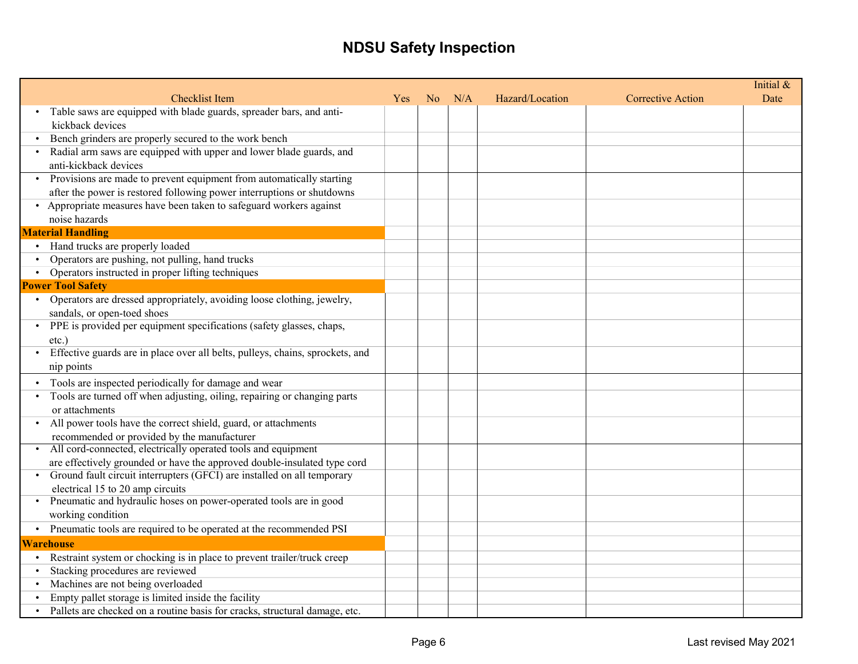|                                                                                      |     |                |     |                 |                          | Initial & |
|--------------------------------------------------------------------------------------|-----|----------------|-----|-----------------|--------------------------|-----------|
| <b>Checklist Item</b>                                                                | Yes | N <sub>o</sub> | N/A | Hazard/Location | <b>Corrective Action</b> | Date      |
| Table saws are equipped with blade guards, spreader bars, and anti-                  |     |                |     |                 |                          |           |
| kickback devices                                                                     |     |                |     |                 |                          |           |
| Bench grinders are properly secured to the work bench                                |     |                |     |                 |                          |           |
| Radial arm saws are equipped with upper and lower blade guards, and                  |     |                |     |                 |                          |           |
| anti-kickback devices                                                                |     |                |     |                 |                          |           |
| Provisions are made to prevent equipment from automatically starting                 |     |                |     |                 |                          |           |
| after the power is restored following power interruptions or shutdowns               |     |                |     |                 |                          |           |
| • Appropriate measures have been taken to safeguard workers against                  |     |                |     |                 |                          |           |
| noise hazards                                                                        |     |                |     |                 |                          |           |
| <b>Material Handling</b>                                                             |     |                |     |                 |                          |           |
| • Hand trucks are properly loaded                                                    |     |                |     |                 |                          |           |
| Operators are pushing, not pulling, hand trucks                                      |     |                |     |                 |                          |           |
| Operators instructed in proper lifting techniques                                    |     |                |     |                 |                          |           |
| <b>Power Tool Safety</b>                                                             |     |                |     |                 |                          |           |
| • Operators are dressed appropriately, avoiding loose clothing, jewelry,             |     |                |     |                 |                          |           |
| sandals, or open-toed shoes                                                          |     |                |     |                 |                          |           |
| • PPE is provided per equipment specifications (safety glasses, chaps,               |     |                |     |                 |                          |           |
| etc.)                                                                                |     |                |     |                 |                          |           |
| Effective guards are in place over all belts, pulleys, chains, sprockets, and        |     |                |     |                 |                          |           |
| nip points                                                                           |     |                |     |                 |                          |           |
| Tools are inspected periodically for damage and wear                                 |     |                |     |                 |                          |           |
| Tools are turned off when adjusting, oiling, repairing or changing parts             |     |                |     |                 |                          |           |
| or attachments                                                                       |     |                |     |                 |                          |           |
| All power tools have the correct shield, guard, or attachments                       |     |                |     |                 |                          |           |
| recommended or provided by the manufacturer                                          |     |                |     |                 |                          |           |
| • All cord-connected, electrically operated tools and equipment                      |     |                |     |                 |                          |           |
| are effectively grounded or have the approved double-insulated type cord             |     |                |     |                 |                          |           |
| Ground fault circuit interrupters (GFCI) are installed on all temporary              |     |                |     |                 |                          |           |
| electrical 15 to 20 amp circuits                                                     |     |                |     |                 |                          |           |
| • Pneumatic and hydraulic hoses on power-operated tools are in good                  |     |                |     |                 |                          |           |
| working condition                                                                    |     |                |     |                 |                          |           |
| • Pneumatic tools are required to be operated at the recommended PSI                 |     |                |     |                 |                          |           |
| <b>Warehouse</b>                                                                     |     |                |     |                 |                          |           |
| Restraint system or chocking is in place to prevent trailer/truck creep<br>$\bullet$ |     |                |     |                 |                          |           |
| Stacking procedures are reviewed                                                     |     |                |     |                 |                          |           |
| Machines are not being overloaded                                                    |     |                |     |                 |                          |           |
| Empty pallet storage is limited inside the facility                                  |     |                |     |                 |                          |           |
| Pallets are checked on a routine basis for cracks, structural damage, etc.           |     |                |     |                 |                          |           |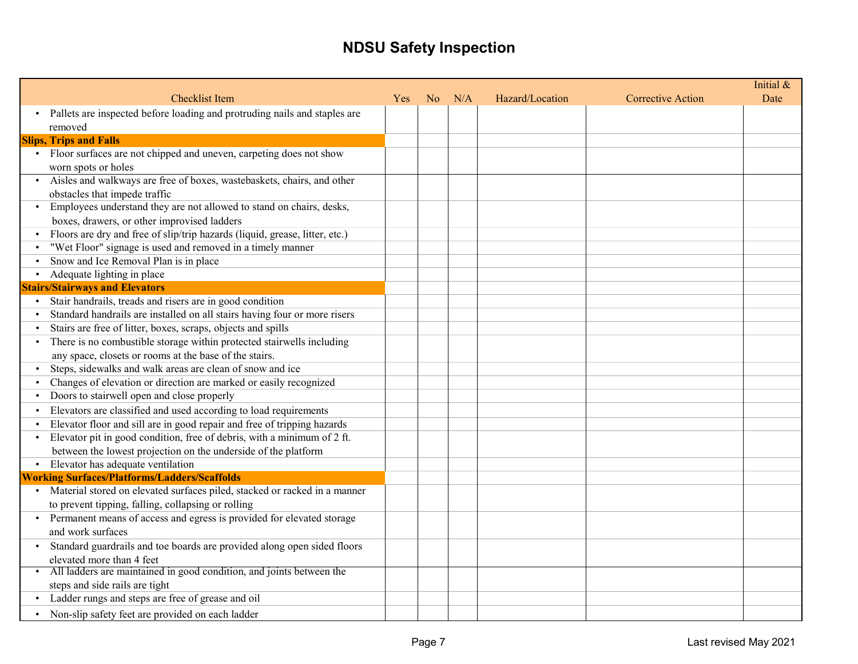|           | <b>Checklist Item</b>                                                       | Yes | N <sub>o</sub> | N/A | Hazard/Location | <b>Corrective Action</b> | Initial &<br>Date |
|-----------|-----------------------------------------------------------------------------|-----|----------------|-----|-----------------|--------------------------|-------------------|
|           | Pallets are inspected before loading and protruding nails and staples are   |     |                |     |                 |                          |                   |
|           | removed                                                                     |     |                |     |                 |                          |                   |
|           | <b>Slips, Trips and Falls</b>                                               |     |                |     |                 |                          |                   |
|           | • Floor surfaces are not chipped and uneven, carpeting does not show        |     |                |     |                 |                          |                   |
|           | worn spots or holes                                                         |     |                |     |                 |                          |                   |
|           | · Aisles and walkways are free of boxes, wastebaskets, chairs, and other    |     |                |     |                 |                          |                   |
|           | obstacles that impede traffic                                               |     |                |     |                 |                          |                   |
|           | Employees understand they are not allowed to stand on chairs, desks,        |     |                |     |                 |                          |                   |
|           | boxes, drawers, or other improvised ladders                                 |     |                |     |                 |                          |                   |
|           | Floors are dry and free of slip/trip hazards (liquid, grease, litter, etc.) |     |                |     |                 |                          |                   |
|           | "Wet Floor" signage is used and removed in a timely manner                  |     |                |     |                 |                          |                   |
|           | Snow and Ice Removal Plan is in place                                       |     |                |     |                 |                          |                   |
|           | Adequate lighting in place                                                  |     |                |     |                 |                          |                   |
|           | <b>Stairs/Stairways and Elevators</b>                                       |     |                |     |                 |                          |                   |
|           | Stair handrails, treads and risers are in good condition                    |     |                |     |                 |                          |                   |
| $\bullet$ | Standard handrails are installed on all stairs having four or more risers   |     |                |     |                 |                          |                   |
| $\bullet$ | Stairs are free of litter, boxes, scraps, objects and spills                |     |                |     |                 |                          |                   |
|           | There is no combustible storage within protected stairwells including       |     |                |     |                 |                          |                   |
|           | any space, closets or rooms at the base of the stairs.                      |     |                |     |                 |                          |                   |
|           | Steps, sidewalks and walk areas are clean of snow and ice                   |     |                |     |                 |                          |                   |
|           | Changes of elevation or direction are marked or easily recognized           |     |                |     |                 |                          |                   |
|           | Doors to stairwell open and close properly                                  |     |                |     |                 |                          |                   |
|           | Elevators are classified and used according to load requirements            |     |                |     |                 |                          |                   |
| $\bullet$ | Elevator floor and sill are in good repair and free of tripping hazards     |     |                |     |                 |                          |                   |
| $\bullet$ | Elevator pit in good condition, free of debris, with a minimum of 2 ft.     |     |                |     |                 |                          |                   |
|           | between the lowest projection on the underside of the platform              |     |                |     |                 |                          |                   |
|           | • Elevator has adequate ventilation                                         |     |                |     |                 |                          |                   |
|           | <b>Working Surfaces/Platforms/Ladders/Scaffolds</b>                         |     |                |     |                 |                          |                   |
|           | Material stored on elevated surfaces piled, stacked or racked in a manner   |     |                |     |                 |                          |                   |
|           | to prevent tipping, falling, collapsing or rolling                          |     |                |     |                 |                          |                   |
|           | Permanent means of access and egress is provided for elevated storage       |     |                |     |                 |                          |                   |
|           | and work surfaces                                                           |     |                |     |                 |                          |                   |
|           | Standard guardrails and toe boards are provided along open sided floors     |     |                |     |                 |                          |                   |
|           | elevated more than 4 feet                                                   |     |                |     |                 |                          |                   |
|           | • All ladders are maintained in good condition, and joints between the      |     |                |     |                 |                          |                   |
|           | steps and side rails are tight                                              |     |                |     |                 |                          |                   |
|           | Ladder rungs and steps are free of grease and oil                           |     |                |     |                 |                          |                   |
|           | Non-slip safety feet are provided on each ladder                            |     |                |     |                 |                          |                   |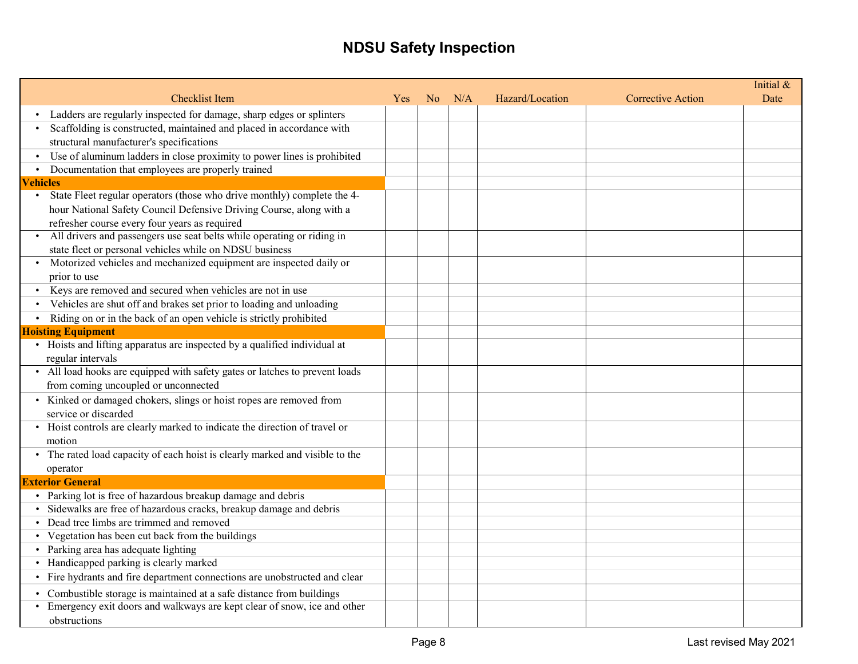|                                                                                      |            |                |     |                 |                   | Initial & |
|--------------------------------------------------------------------------------------|------------|----------------|-----|-----------------|-------------------|-----------|
| <b>Checklist Item</b>                                                                | <b>Yes</b> | N <sub>o</sub> | N/A | Hazard/Location | Corrective Action | Date      |
| Ladders are regularly inspected for damage, sharp edges or splinters                 |            |                |     |                 |                   |           |
| Scaffolding is constructed, maintained and placed in accordance with                 |            |                |     |                 |                   |           |
| structural manufacturer's specifications                                             |            |                |     |                 |                   |           |
| Use of aluminum ladders in close proximity to power lines is prohibited<br>$\bullet$ |            |                |     |                 |                   |           |
| Documentation that employees are properly trained                                    |            |                |     |                 |                   |           |
| <b>Vehicles</b>                                                                      |            |                |     |                 |                   |           |
| State Fleet regular operators (those who drive monthly) complete the 4-              |            |                |     |                 |                   |           |
| hour National Safety Council Defensive Driving Course, along with a                  |            |                |     |                 |                   |           |
| refresher course every four years as required                                        |            |                |     |                 |                   |           |
| All drivers and passengers use seat belts while operating or riding in               |            |                |     |                 |                   |           |
| state fleet or personal vehicles while on NDSU business                              |            |                |     |                 |                   |           |
| • Motorized vehicles and mechanized equipment are inspected daily or                 |            |                |     |                 |                   |           |
| prior to use                                                                         |            |                |     |                 |                   |           |
| Keys are removed and secured when vehicles are not in use                            |            |                |     |                 |                   |           |
| Vehicles are shut off and brakes set prior to loading and unloading                  |            |                |     |                 |                   |           |
| Riding on or in the back of an open vehicle is strictly prohibited                   |            |                |     |                 |                   |           |
| <b>Hoisting Equipment</b>                                                            |            |                |     |                 |                   |           |
| • Hoists and lifting apparatus are inspected by a qualified individual at            |            |                |     |                 |                   |           |
| regular intervals                                                                    |            |                |     |                 |                   |           |
| • All load hooks are equipped with safety gates or latches to prevent loads          |            |                |     |                 |                   |           |
| from coming uncoupled or unconnected                                                 |            |                |     |                 |                   |           |
| • Kinked or damaged chokers, slings or hoist ropes are removed from                  |            |                |     |                 |                   |           |
| service or discarded                                                                 |            |                |     |                 |                   |           |
| • Hoist controls are clearly marked to indicate the direction of travel or           |            |                |     |                 |                   |           |
| motion                                                                               |            |                |     |                 |                   |           |
| • The rated load capacity of each hoist is clearly marked and visible to the         |            |                |     |                 |                   |           |
| operator                                                                             |            |                |     |                 |                   |           |
| <b>Exterior General</b>                                                              |            |                |     |                 |                   |           |
| • Parking lot is free of hazardous breakup damage and debris                         |            |                |     |                 |                   |           |
| · Sidewalks are free of hazardous cracks, breakup damage and debris                  |            |                |     |                 |                   |           |
| • Dead tree limbs are trimmed and removed                                            |            |                |     |                 |                   |           |
| • Vegetation has been cut back from the buildings                                    |            |                |     |                 |                   |           |
| • Parking area has adequate lighting                                                 |            |                |     |                 |                   |           |
| • Handicapped parking is clearly marked                                              |            |                |     |                 |                   |           |
| • Fire hydrants and fire department connections are unobstructed and clear           |            |                |     |                 |                   |           |
| • Combustible storage is maintained at a safe distance from buildings                |            |                |     |                 |                   |           |
| • Emergency exit doors and walkways are kept clear of snow, ice and other            |            |                |     |                 |                   |           |
| obstructions                                                                         |            |                |     |                 |                   |           |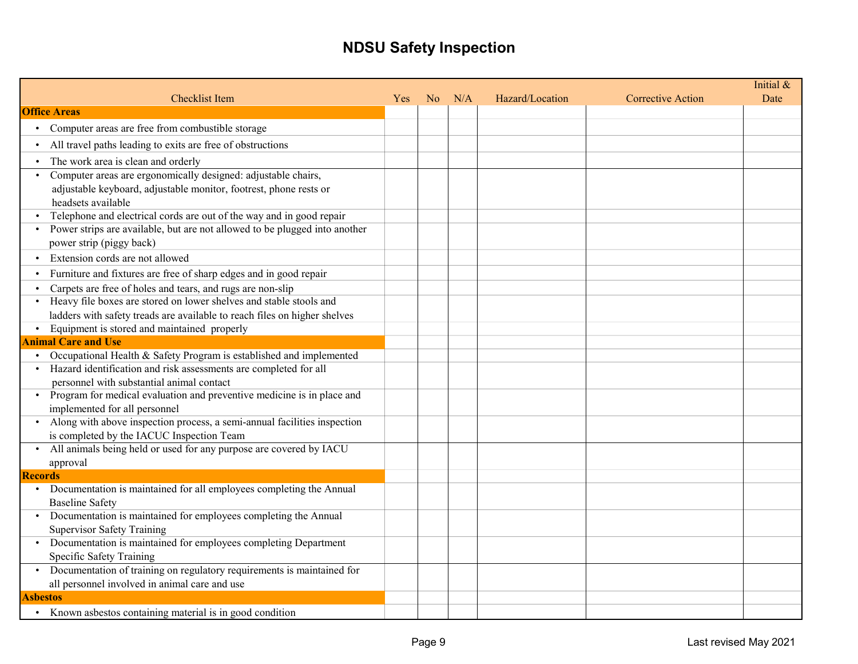|                                                                                       |            |                |     |                 |                          | Initial & |
|---------------------------------------------------------------------------------------|------------|----------------|-----|-----------------|--------------------------|-----------|
| <b>Checklist Item</b>                                                                 | <b>Yes</b> | N <sub>o</sub> | N/A | Hazard/Location | <b>Corrective Action</b> | Date      |
| <b>Office Areas</b>                                                                   |            |                |     |                 |                          |           |
| Computer areas are free from combustible storage                                      |            |                |     |                 |                          |           |
| All travel paths leading to exits are free of obstructions                            |            |                |     |                 |                          |           |
| The work area is clean and orderly                                                    |            |                |     |                 |                          |           |
| Computer areas are ergonomically designed: adjustable chairs,                         |            |                |     |                 |                          |           |
| adjustable keyboard, adjustable monitor, footrest, phone rests or                     |            |                |     |                 |                          |           |
| headsets available                                                                    |            |                |     |                 |                          |           |
| Telephone and electrical cords are out of the way and in good repair                  |            |                |     |                 |                          |           |
| Power strips are available, but are not allowed to be plugged into another            |            |                |     |                 |                          |           |
| power strip (piggy back)                                                              |            |                |     |                 |                          |           |
| Extension cords are not allowed                                                       |            |                |     |                 |                          |           |
| Furniture and fixtures are free of sharp edges and in good repair                     |            |                |     |                 |                          |           |
| Carpets are free of holes and tears, and rugs are non-slip                            |            |                |     |                 |                          |           |
| Heavy file boxes are stored on lower shelves and stable stools and                    |            |                |     |                 |                          |           |
| ladders with safety treads are available to reach files on higher shelves             |            |                |     |                 |                          |           |
| Equipment is stored and maintained properly                                           |            |                |     |                 |                          |           |
| <b>Animal Care and Use</b>                                                            |            |                |     |                 |                          |           |
| Occupational Health & Safety Program is established and implemented                   |            |                |     |                 |                          |           |
| Hazard identification and risk assessments are completed for all                      |            |                |     |                 |                          |           |
| personnel with substantial animal contact                                             |            |                |     |                 |                          |           |
| Program for medical evaluation and preventive medicine is in place and                |            |                |     |                 |                          |           |
| implemented for all personnel                                                         |            |                |     |                 |                          |           |
| Along with above inspection process, a semi-annual facilities inspection<br>$\bullet$ |            |                |     |                 |                          |           |
| is completed by the IACUC Inspection Team                                             |            |                |     |                 |                          |           |
| All animals being held or used for any purpose are covered by IACU                    |            |                |     |                 |                          |           |
| approval                                                                              |            |                |     |                 |                          |           |
| <b>Records</b>                                                                        |            |                |     |                 |                          |           |
| Documentation is maintained for all employees completing the Annual                   |            |                |     |                 |                          |           |
| <b>Baseline Safety</b>                                                                |            |                |     |                 |                          |           |
| • Documentation is maintained for employees completing the Annual                     |            |                |     |                 |                          |           |
| <b>Supervisor Safety Training</b>                                                     |            |                |     |                 |                          |           |
| • Documentation is maintained for employees completing Department                     |            |                |     |                 |                          |           |
| Specific Safety Training                                                              |            |                |     |                 |                          |           |
| Documentation of training on regulatory requirements is maintained for                |            |                |     |                 |                          |           |
| all personnel involved in animal care and use                                         |            |                |     |                 |                          |           |
| <b>Asbestos</b>                                                                       |            |                |     |                 |                          |           |
| Known asbestos containing material is in good condition                               |            |                |     |                 |                          |           |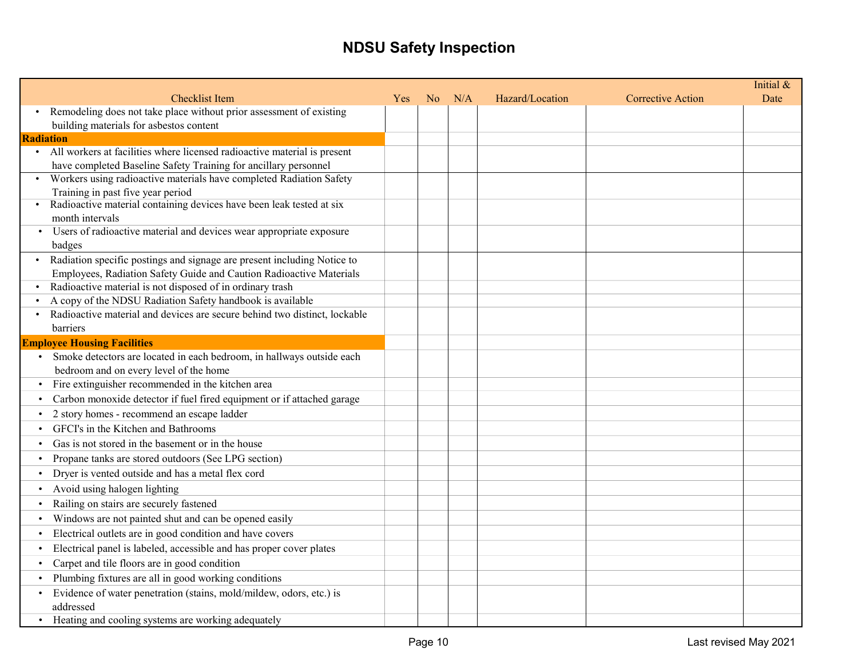|                                                                                                                                        |     |                |     |                 |                          | Initial & |
|----------------------------------------------------------------------------------------------------------------------------------------|-----|----------------|-----|-----------------|--------------------------|-----------|
| <b>Checklist Item</b>                                                                                                                  | Yes | N <sub>o</sub> | N/A | Hazard/Location | <b>Corrective Action</b> | Date      |
| • Remodeling does not take place without prior assessment of existing                                                                  |     |                |     |                 |                          |           |
| building materials for asbestos content                                                                                                |     |                |     |                 |                          |           |
| <b>Radiation</b>                                                                                                                       |     |                |     |                 |                          |           |
| • All workers at facilities where licensed radioactive material is present                                                             |     |                |     |                 |                          |           |
| have completed Baseline Safety Training for ancillary personnel<br>Workers using radioactive materials have completed Radiation Safety |     |                |     |                 |                          |           |
| Training in past five year period                                                                                                      |     |                |     |                 |                          |           |
| • Radioactive material containing devices have been leak tested at six                                                                 |     |                |     |                 |                          |           |
| month intervals                                                                                                                        |     |                |     |                 |                          |           |
| Users of radioactive material and devices wear appropriate exposure                                                                    |     |                |     |                 |                          |           |
| badges                                                                                                                                 |     |                |     |                 |                          |           |
| Radiation specific postings and signage are present including Notice to                                                                |     |                |     |                 |                          |           |
| Employees, Radiation Safety Guide and Caution Radioactive Materials                                                                    |     |                |     |                 |                          |           |
| Radioactive material is not disposed of in ordinary trash<br>$\bullet$                                                                 |     |                |     |                 |                          |           |
| A copy of the NDSU Radiation Safety handbook is available                                                                              |     |                |     |                 |                          |           |
| Radioactive material and devices are secure behind two distinct, lockable                                                              |     |                |     |                 |                          |           |
| barriers                                                                                                                               |     |                |     |                 |                          |           |
| <b>Employee Housing Facilities</b>                                                                                                     |     |                |     |                 |                          |           |
| Smoke detectors are located in each bedroom, in hallways outside each                                                                  |     |                |     |                 |                          |           |
| bedroom and on every level of the home                                                                                                 |     |                |     |                 |                          |           |
| Fire extinguisher recommended in the kitchen area                                                                                      |     |                |     |                 |                          |           |
| Carbon monoxide detector if fuel fired equipment or if attached garage                                                                 |     |                |     |                 |                          |           |
| 2 story homes - recommend an escape ladder                                                                                             |     |                |     |                 |                          |           |
| GFCI's in the Kitchen and Bathrooms                                                                                                    |     |                |     |                 |                          |           |
| Gas is not stored in the basement or in the house                                                                                      |     |                |     |                 |                          |           |
| Propane tanks are stored outdoors (See LPG section)                                                                                    |     |                |     |                 |                          |           |
| Dryer is vented outside and has a metal flex cord                                                                                      |     |                |     |                 |                          |           |
| Avoid using halogen lighting                                                                                                           |     |                |     |                 |                          |           |
| Railing on stairs are securely fastened                                                                                                |     |                |     |                 |                          |           |
| Windows are not painted shut and can be opened easily                                                                                  |     |                |     |                 |                          |           |
| Electrical outlets are in good condition and have covers                                                                               |     |                |     |                 |                          |           |
| Electrical panel is labeled, accessible and has proper cover plates                                                                    |     |                |     |                 |                          |           |
| Carpet and tile floors are in good condition                                                                                           |     |                |     |                 |                          |           |
| Plumbing fixtures are all in good working conditions                                                                                   |     |                |     |                 |                          |           |
| Evidence of water penetration (stains, mold/mildew, odors, etc.) is                                                                    |     |                |     |                 |                          |           |
| addressed                                                                                                                              |     |                |     |                 |                          |           |
| Heating and cooling systems are working adequately                                                                                     |     |                |     |                 |                          |           |